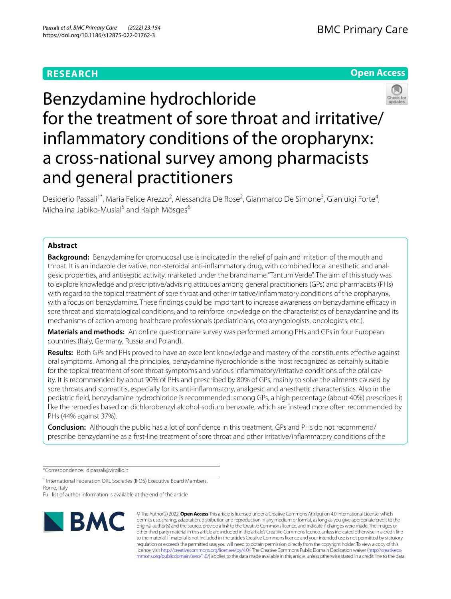# **RESEARCH**

# **Open Access**



Benzydamine hydrochloride for the treatment of sore throat and irritative/ infammatory conditions of the oropharynx: a cross-national survey among pharmacists and general practitioners

Desiderio Passali<sup>1\*</sup>, Maria Felice Arezzo<sup>2</sup>, Alessandra De Rose<sup>2</sup>, Gianmarco De Simone<sup>3</sup>, Gianluigi Forte<sup>4</sup>, Michalina Jablko-Musial<sup>5</sup> and Ralph Mösges<sup>6</sup>

# **Abstract**

**Background:** Benzydamine for oromucosal use is indicated in the relief of pain and irritation of the mouth and throat. It is an indazole derivative, non-steroidal anti-inflammatory drug, with combined local anesthetic and analgesic properties, and antiseptic activity, marketed under the brand name "Tantum Verde". The aim of this study was to explore knowledge and prescriptive/advising attitudes among general practitioners (GPs) and pharmacists (PHs) with regard to the topical treatment of sore throat and other irritative/infammatory conditions of the oropharynx, with a focus on benzydamine. These fndings could be important to increase awareness on benzydamine efcacy in sore throat and stomatological conditions, and to reinforce knowledge on the characteristics of benzydamine and its mechanisms of action among healthcare professionals (pediatricians, otolaryngologists, oncologists, etc.).

**Materials and methods:** An online questionnaire survey was performed among PHs and GPs in four European countries (Italy, Germany, Russia and Poland).

**Results:** Both GPs and PHs proved to have an excellent knowledge and mastery of the constituents efective against oral symptoms. Among all the principles, benzydamine hydrochloride is the most recognized as certainly suitable for the topical treatment of sore throat symptoms and various inflammatory/irritative conditions of the oral cavity. It is recommended by about 90% of PHs and prescribed by 80% of GPs, mainly to solve the ailments caused by sore throats and stomatitis, especially for its anti-infammatory, analgesic and anesthetic characteristics. Also in the pediatric feld, benzydamine hydrochloride is recommended: among GPs, a high percentage (about 40%) prescribes it like the remedies based on dichlorobenzyl alcohol-sodium benzoate, which are instead more often recommended by PHs (44% against 37%).

**Conclusion:** Although the public has a lot of confdence in this treatment, GPs and PHs do not recommend/ prescribe benzydamine as a frst-line treatment of sore throat and other irritative/infammatory conditions of the

\*Correspondence: d.passali@virgilio.it

<sup>1</sup> International Federation ORL Societies (IFOS) Executive Board Members, Rome, Italy

Full list of author information is available at the end of the article



© The Author(s) 2022. **Open Access** This article is licensed under a Creative Commons Attribution 4.0 International License, which permits use, sharing, adaptation, distribution and reproduction in any medium or format, as long as you give appropriate credit to the original author(s) and the source, provide a link to the Creative Commons licence, and indicate if changes were made. The images or other third party material in this article are included in the article's Creative Commons licence, unless indicated otherwise in a credit line to the material. If material is not included in the article's Creative Commons licence and your intended use is not permitted by statutory regulation or exceeds the permitted use, you will need to obtain permission directly from the copyright holder. To view a copy of this licence, visit [http://creativecommons.org/licenses/by/4.0/.](http://creativecommons.org/licenses/by/4.0/) The Creative Commons Public Domain Dedication waiver ([http://creativeco](http://creativecommons.org/publicdomain/zero/1.0/) [mmons.org/publicdomain/zero/1.0/](http://creativecommons.org/publicdomain/zero/1.0/)) applies to the data made available in this article, unless otherwise stated in a credit line to the data.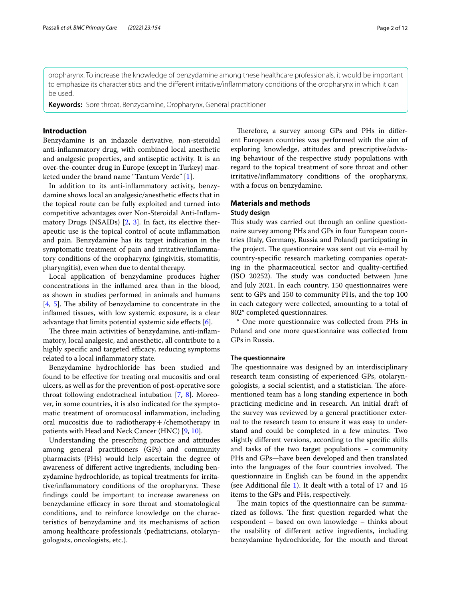oropharynx. To increase the knowledge of benzydamine among these healthcare professionals, it would be important to emphasize its characteristics and the diferent irritative/infammatory conditions of the oropharynx in which it can

**Keywords:** Sore throat, Benzydamine, Oropharynx, General practitioner

## **Introduction**

be used.

Benzydamine is an indazole derivative, non-steroidal anti-infammatory drug, with combined local anesthetic and analgesic properties, and antiseptic activity. It is an over-the-counter drug in Europe (except in Turkey) marketed under the brand name "Tantum Verde" [\[1\]](#page-11-0).

In addition to its anti-infammatory activity, benzydamine shows local an analgesic/anesthetic efects that in the topical route can be fully exploited and turned into competitive advantages over Non-Steroidal Anti-Infammatory Drugs (NSAIDs) [\[2](#page-11-1), [3\]](#page-11-2). In fact, its elective therapeutic use is the topical control of acute infammation and pain. Benzydamine has its target indication in the symptomatic treatment of pain and irritative/infammatory conditions of the oropharynx (gingivitis, stomatitis, pharyngitis), even when due to dental therapy.

Local application of benzydamine produces higher concentrations in the infamed area than in the blood, as shown in studies performed in animals and humans  $[4, 5]$  $[4, 5]$  $[4, 5]$  $[4, 5]$ . The ability of benzydamine to concentrate in the infamed tissues, with low systemic exposure, is a clear advantage that limits potential systemic side effects  $[6]$  $[6]$ .

The three main activities of benzydamine, anti-inflammatory, local analgesic, and anesthetic, all contribute to a highly specific and targeted efficacy, reducing symptoms related to a local infammatory state.

Benzydamine hydrochloride has been studied and found to be efective for treating oral mucositis and oral ulcers, as well as for the prevention of post-operative sore throat following endotracheal intubation [\[7](#page-11-6), [8](#page-11-7)]. Moreover, in some countries, it is also indicated for the symptomatic treatment of oromucosal infammation, including oral mucositis due to radiotherapy  $+/$ chemotherapy in patients with Head and Neck Cancer (HNC) [\[9](#page-11-8), [10](#page-11-9)].

Understanding the prescribing practice and attitudes among general practitioners (GPs) and community pharmacists (PHs) would help ascertain the degree of awareness of diferent active ingredients, including benzydamine hydrochloride, as topical treatments for irritative/inflammatory conditions of the oropharynx. These fndings could be important to increase awareness on benzydamine efficacy in sore throat and stomatological conditions, and to reinforce knowledge on the characteristics of benzydamine and its mechanisms of action among healthcare professionals (pediatricians, otolaryngologists, oncologists, etc.).

Therefore, a survey among GPs and PHs in different European countries was performed with the aim of exploring knowledge, attitudes and prescriptive/advising behaviour of the respective study populations with regard to the topical treatment of sore throat and other irritative/infammatory conditions of the oropharynx, with a focus on benzydamine.

# **Materials and methods**

## **Study design**

This study was carried out through an online questionnaire survey among PHs and GPs in four European countries (Italy, Germany, Russia and Poland) participating in the project. The questionnaire was sent out via e-mail by country-specifc research marketing companies operating in the pharmaceutical sector and quality-certifed (ISO 20252). The study was conducted between June and July 2021. In each country, 150 questionnaires were sent to GPs and 150 to community PHs, and the top 100 in each category were collected, amounting to a total of 802\* completed questionnaires.

\* One more questionnaire was collected from PHs in Poland and one more questionnaire was collected from GPs in Russia.

#### **The questionnaire**

The questionnaire was designed by an interdisciplinary research team consisting of experienced GPs, otolaryngologists, a social scientist, and a statistician. The aforementioned team has a long standing experience in both practicing medicine and in research. An initial draft of the survey was reviewed by a general practitioner external to the research team to ensure it was easy to understand and could be completed in a few minutes. Two slightly diferent versions, according to the specifc skills and tasks of the two target populations – community PHs and GPs—have been developed and then translated into the languages of the four countries involved. The questionnaire in English can be found in the appendix (see Additional fle [1\)](#page-10-0). It dealt with a total of 17 and 15 items to the GPs and PHs, respectively.

The main topics of the questionnaire can be summarized as follows. The first question regarded what the respondent – based on own knowledge – thinks about the usability of diferent active ingredients, including benzydamine hydrochloride, for the mouth and throat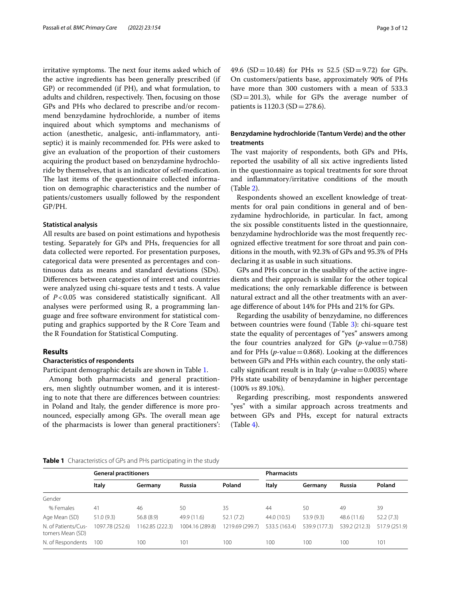irritative symptoms. The next four items asked which of the active ingredients has been generally prescribed (if GP) or recommended (if PH), and what formulation, to adults and children, respectively. Then, focusing on those GPs and PHs who declared to prescribe and/or recommend benzydamine hydrochloride, a number of items inquired about which symptoms and mechanisms of action (anesthetic, analgesic, anti-infammatory, antiseptic) it is mainly recommended for. PHs were asked to give an evaluation of the proportion of their customers acquiring the product based on benzydamine hydrochloride by themselves, that is an indicator of self-medication. The last items of the questionnaire collected information on demographic characteristics and the number of patients/customers usually followed by the respondent GP/PH.

#### **Statistical analysis**

All results are based on point estimations and hypothesis testing. Separately for GPs and PHs, frequencies for all data collected were reported. For presentation purposes, categorical data were presented as percentages and continuous data as means and standard deviations (SDs). Diferences between categories of interest and countries were analyzed using chi-square tests and t tests. A value of *P*<0.05 was considered statistically signifcant. All analyses were performed using R, a programming language and free software environment for statistical computing and graphics supported by the R Core Team and the R Foundation for Statistical Computing.

# **Results**

## **Characteristics of respondents**

Participant demographic details are shown in Table [1](#page-2-0).

Among both pharmacists and general practitioners, men slightly outnumber women, and it is interesting to note that there are diferences between countries: in Poland and Italy, the gender diference is more pronounced, especially among GPs. The overall mean age of the pharmacists is lower than general practitioners': 49.6 (SD=10.48) for PHs *vs* 52.5 (SD=9.72) for GPs. On customers/patients base, approximately 90% of PHs have more than 300 customers with a mean of 533.3  $(SD = 201.3)$ , while for GPs the average number of patients is 1120.3 (SD=278.6).

# **Benzydamine hydrochloride (Tantum Verde) and the other treatments**

The vast majority of respondents, both GPs and PHs, reported the usability of all six active ingredients listed in the questionnaire as topical treatments for sore throat and infammatory/irritative conditions of the mouth (Table [2\)](#page-3-0).

Respondents showed an excellent knowledge of treatments for oral pain conditions in general and of benzydamine hydrochloride, in particular. In fact, among the six possible constituents listed in the questionnaire, benzydamine hydrochloride was the most frequently recognized efective treatment for sore throat and pain conditions in the mouth, with 92.3% of GPs and 95.3% of PHs declaring it as usable in such situations.

GPs and PHs concur in the usability of the active ingredients and their approach is similar for the other topical medications; the only remarkable diference is between natural extract and all the other treatments with an average diference of about 14% for PHs and 21% for GPs.

Regarding the usability of benzydamine, no diferences between countries were found (Table [3](#page-3-1)): chi-square test state the equality of percentages of "yes" answers among the four countries analyzed for GPs  $(p$ -value=0.758) and for PHs  $(p$ -value = 0.868). Looking at the differences between GPs and PHs within each country, the only statically significant result is in Italy ( $p$ -value = 0.0035) where PHs state usability of benzydamine in higher percentage (100% *vs* 89.10%).

Regarding prescribing, most respondents answered "yes" with a similar approach across treatments and between GPs and PHs, except for natural extracts (Table [4\)](#page-4-0).

#### <span id="page-2-0"></span>**Table 1** Characteristics of GPs and PHs participating in the study

|                                         | <b>General practitioners</b> |                |                 |                 | <b>Pharmacists</b> |               |               |               |
|-----------------------------------------|------------------------------|----------------|-----------------|-----------------|--------------------|---------------|---------------|---------------|
|                                         | Italy                        | Germany        | <b>Russia</b>   | Poland          | Italy              | Germany       | <b>Russia</b> | Poland        |
| Gender                                  |                              |                |                 |                 |                    |               |               |               |
| % Females                               | 41                           | 46             | 50              | 35              | 44                 | 50            | 49            | 39            |
| Age Mean (SD)                           | 51.0(9.3)                    | 56.8 (8.9)     | 49.9 (11.6)     | 52.1(7.2)       | 44.0 (10.5)        | 53.9(9.3)     | 48.6 (11.6)   | 52.2(7.3)     |
| N. of Patients/Cus-<br>tomers Mean (SD) | 1097.78 (252.6)              | 162.85 (222.3) | 1004.16 (289.8) | 1219.69 (299.7) | 533.5 (163.4)      | 539.9 (177.3) | 539.2 (212.3) | 517.9 (251.9) |
| N. of Respondents                       | 100                          | 100            | 101             | 100             | 100                | 100           | 100           | 101           |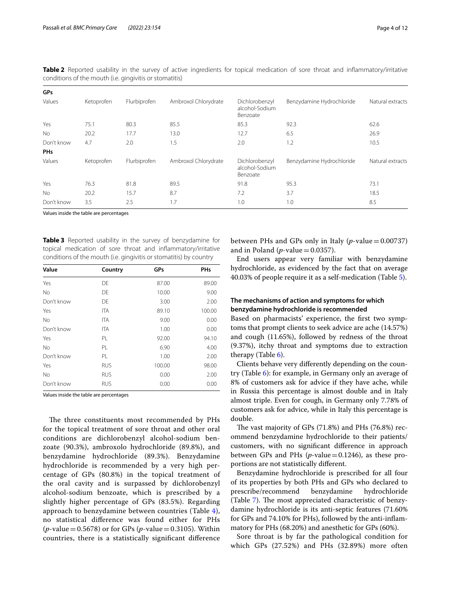| Ketoprofen | Flurbiprofen | Ambroxol Chlorydrate | Dichlorobenzyl<br>alcohol-Sodium<br>Benzoate                    | Benzydamine Hydrochloride | Natural extracts |
|------------|--------------|----------------------|-----------------------------------------------------------------|---------------------------|------------------|
| 75.1       | 80.3         | 85.5                 | 85.3                                                            | 92.3                      | 62.6             |
| 20.2       | 17.7         | 13.0                 | 12.7                                                            | 6.5                       | 26.9             |
| 4.7        | 2.0          | 1.5                  | 2.0                                                             | 1.2                       | 10.5             |
|            |              |                      |                                                                 |                           |                  |
| Ketoprofen | Flurbiprofen | Ambroxol Chlorydrate | Dichlorobenzyl<br>alcohol-Sodium<br>Benzoate                    | Benzydamine Hydrochloride | Natural extracts |
| 76.3       | 81.8         | 89.5                 | 91.8                                                            | 95.3                      | 73.1             |
| 20.2       | 15.7         | 8.7                  | 7.2                                                             | 3.7                       | 18.5             |
| 3.5        | 2.5          | 1.7                  | 1.0                                                             | 1.0                       | 8.5              |
|            |              |                      | conditions of the mouth ( <i>i.e.</i> gingivitis or stomatitis) |                           |                  |

<span id="page-3-0"></span>**Table 2** Reported usability in the survey of active ingredients for topical medication of sore throat and infammatory/irritative conditions of the mouth (i.e. gingivitis or stomatitis)

Values inside the table are percentages

<span id="page-3-1"></span>**Table 3** Reported usability in the survey of benzydamine for topical medication of sore throat and infammatory/irritative conditions of the mouth (i.e. gingivitis or stomatitis) by country

| Value      | Country    | GPs    | <b>PHs</b> |
|------------|------------|--------|------------|
| Yes        | DE         | 87.00  | 89.00      |
| <b>No</b>  | DF.        | 10.00  | 9.00       |
| Don't know | DE         | 3.00   | 2.00       |
| Yes        | <b>ITA</b> | 89.10  | 100.00     |
| <b>No</b>  | <b>ITA</b> | 9.00   | 0.00       |
| Don't know | <b>ITA</b> | 1.00   | 0.00       |
| Yes        | PL         | 92.00  | 94.10      |
| <b>No</b>  | PL         | 6.90   | 4.00       |
| Don't know | PL         | 1.00   | 2.00       |
| Yes        | <b>RUS</b> | 100.00 | 98.00      |
| No         | <b>RUS</b> | 0.00   | 2.00       |
| Don't know | <b>RUS</b> | 0.00   | 0.00       |

Values inside the table are percentages

The three constituents most recommended by PHs for the topical treatment of sore throat and other oral conditions are dichlorobenzyl alcohol-sodium benzoate (90.3%), ambroxolo hydrochloride (89.8%), and benzydamine hydrochloride (89.3%). Benzydamine hydrochloride is recommended by a very high percentage of GPs (80.8%) in the topical treatment of the oral cavity and is surpassed by dichlorobenzyl alcohol-sodium benzoate, which is prescribed by a slightly higher percentage of GPs (83.5%). Regarding approach to benzydamine between countries (Table [4\)](#page-4-0), no statistical diference was found either for PHs (*p*-value=0.5678) or for GPs (*p*-value=0.3105). Within countries, there is a statistically signifcant diference between PHs and GPs only in Italy  $(p$ -value $=0.00737)$ and in Poland ( $p$ -value = 0.0357).

End users appear very familiar with benzydamine hydrochloride, as evidenced by the fact that on average 40.03% of people require it as a self-medication (Table [5\)](#page-4-1).

# **The mechanisms of action and symptoms for which benzydamine hydrochloride is recommended**

Based on pharmacists' experience, the frst two symptoms that prompt clients to seek advice are ache (14.57%) and cough (11.65%), followed by redness of the throat (9.37%), itchy throat and symptoms due to extraction therapy (Table [6\)](#page-5-0).

Clients behave very diferently depending on the country (Table [6](#page-5-0)): for example, in Germany only an average of 8% of customers ask for advice if they have ache, while in Russia this percentage is almost double and in Italy almost triple. Even for cough, in Germany only 7.78% of customers ask for advice, while in Italy this percentage is double.

The vast majority of GPs  $(71.8%)$  and PHs  $(76.8%)$  recommend benzydamine hydrochloride to their patients/ customers, with no signifcant diference in approach between GPs and PHs  $(p$ -value=0.1246), as these proportions are not statistically diferent.

Benzydamine hydrochloride is prescribed for all four of its properties by both PHs and GPs who declared to prescribe/recommend benzydamine hydrochloride (Table [7\)](#page-5-1). The most appreciated characteristic of benzydamine hydrochloride is its anti-septic features (71.60% for GPs and 74.10% for PHs), followed by the anti-infammatory for PHs (68.20%) and anesthetic for GPs (60%).

Sore throat is by far the pathological condition for which GPs (27.52%) and PHs (32.89%) more often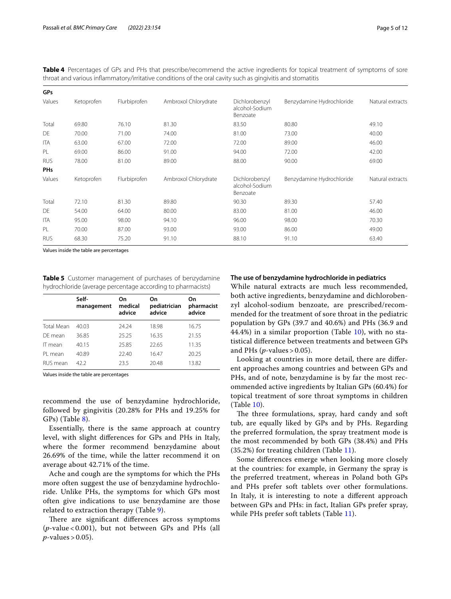|            |            |              | throat and various inflammatory/irritative conditions of the oral cavity such as gingivitis and stomatitis |                                              |                           |                  |
|------------|------------|--------------|------------------------------------------------------------------------------------------------------------|----------------------------------------------|---------------------------|------------------|
| <b>GPs</b> |            |              |                                                                                                            |                                              |                           |                  |
| Values     | Ketoprofen | Flurbiprofen | Ambroxol Chlorydrate                                                                                       | Dichlorobenzyl<br>alcohol-Sodium<br>Benzoate | Benzydamine Hydrochloride | Natural extracts |
| Total      | 69.80      | 76.10        | 81.30                                                                                                      | 83.50                                        | 80.80                     | 49.10            |
| DE         | 70.00      | 71.00        | 74.00                                                                                                      | 81.00                                        | 73.00                     | 40.00            |
| <b>ITA</b> | 63.00      | 67.00        | 72.00                                                                                                      | 72.00                                        | 89.00                     | 46.00            |
| PL         | 69.00      | 86.00        | 91.00                                                                                                      | 94.00                                        | 72.00                     | 42.00            |
| <b>RUS</b> | 78.00      | 81.00        | 89.00                                                                                                      | 88.00                                        | 90.00                     | 69.00            |
| <b>PHs</b> |            |              |                                                                                                            |                                              |                           |                  |
| Values     | Ketoprofen | Flurbiprofen | Ambroxol Chlorydrate                                                                                       | Dichlorobenzyl<br>alcohol-Sodium<br>Benzoate | Benzydamine Hydrochloride | Natural extracts |
| Total      | 72.10      | 81.30        | 89.80                                                                                                      | 90.30                                        | 89.30                     | 57.40            |
| DE         | 54.00      | 64.00        | 80.00                                                                                                      | 83.00                                        | 81.00                     | 46.00            |
| <b>ITA</b> | 95.00      | 98.00        | 94.10                                                                                                      | 96.00                                        | 98.00                     | 70.30            |
| PL         | 70.00      | 87.00        | 93.00                                                                                                      | 93.00                                        | 86.00                     | 49.00            |
| <b>RUS</b> | 68.30      | 75.20        | 91.10                                                                                                      | 88.10                                        | 91.10                     | 63.40            |

<span id="page-4-0"></span>**Table 4** Percentages of GPs and PHs that prescribe/recommend the active ingredients for topical treatment of symptoms of sore

Values inside the table are percentages

<span id="page-4-1"></span>**Table 5** Customer management of purchases of benzydamine hydrochloride (average percentage according to pharmacists)

|                   | Self-<br>management | On<br>medical<br>advice | On<br>pediatrician<br>advice | On<br>pharmacist<br>advice |
|-------------------|---------------------|-------------------------|------------------------------|----------------------------|
| <b>Total Mean</b> | 40.03               | 24.24                   | 18.98                        | 16.75                      |
| DF mean           | 36.85               | 25.25                   | 16.35                        | 21.55                      |
| IT mean           | 40.15               | 25.85                   | 22.65                        | 11.35                      |
| PI mean           | 40.89               | 22.40                   | 16.47                        | 20.25                      |
| RUS mean          | 422                 | 235                     | 20.48                        | 13.82                      |

Values inside the table are percentages

recommend the use of benzydamine hydrochloride, followed by gingivitis (20.28% for PHs and 19.25% for GPs) (Table [8](#page-6-0)).

Essentially, there is the same approach at country level, with slight diferences for GPs and PHs in Italy, where the former recommend benzydamine about 26.69% of the time, while the latter recommend it on average about 42.71% of the time.

Ache and cough are the symptoms for which the PHs more often suggest the use of benzydamine hydrochloride. Unlike PHs, the symptoms for which GPs most often give indications to use benzydamine are those related to extraction therapy (Table [9\)](#page-7-0).

There are significant differences across symptoms (*p*-value < 0.001), but not between GPs and PHs (all *p*-values > 0.05).

#### **The use of benzydamine hydrochloride in pediatrics**

While natural extracts are much less recommended, both active ingredients, benzydamine and dichlorobenzyl alcohol-sodium benzoate, are prescribed/recommended for the treatment of sore throat in the pediatric population by GPs (39.7 and 40.6%) and PHs (36.9 and 44.4%) in a similar proportion (Table [10\)](#page-7-1), with no statistical diference between treatments and between GPs and PHs  $(p$ -values > 0.05).

Looking at countries in more detail, there are diferent approaches among countries and between GPs and PHs, and of note, benzydamine is by far the most recommended active ingredients by Italian GPs (60.4%) for topical treatment of sore throat symptoms in children (Table [10\)](#page-7-1).

The three formulations, spray, hard candy and soft tub, are equally liked by GPs and by PHs. Regarding the preferred formulation, the spray treatment mode is the most recommended by both GPs (38.4%) and PHs (35.2%) for treating children (Table [11\)](#page-8-0).

Some diferences emerge when looking more closely at the countries: for example, in Germany the spray is the preferred treatment, whereas in Poland both GPs and PHs prefer soft tablets over other formulations. In Italy, it is interesting to note a diferent approach between GPs and PHs: in fact, Italian GPs prefer spray, while PHs prefer soft tablets (Table [11](#page-8-0)).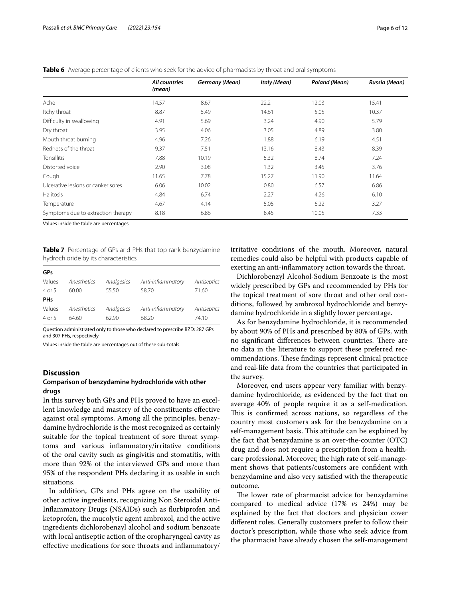|                                    | All countries<br>(mean) | <b>Germany (Mean)</b> | Italy (Mean) | Poland (Mean) | Russia (Mean) |
|------------------------------------|-------------------------|-----------------------|--------------|---------------|---------------|
| Ache                               | 14.57                   | 8.67                  | 22.2         | 12.03         | 15.41         |
| Itchy throat                       | 8.87                    | 5.49                  | 14.61        | 5.05          | 10.37         |
| Difficulty in swallowing           | 4.91                    | 5.69                  | 3.24         | 4.90          | 5.79          |
| Dry throat                         | 3.95                    | 4.06                  | 3.05         | 4.89          | 3.80          |
| Mouth throat burning               | 4.96                    | 7.26                  | 1.88         | 6.19          | 4.51          |
| Redness of the throat              | 9.37                    | 7.51                  | 13.16        | 8.43          | 8.39          |
| Tonsillitis                        | 7.88                    | 10.19                 | 5.32         | 8.74          | 7.24          |
| Distorted voice                    | 2.90                    | 3.08                  | 1.32         | 3.45          | 3.76          |
| Cough                              | 11.65                   | 7.78                  | 15.27        | 11.90         | 11.64         |
| Ulcerative lesions or canker sores | 6.06                    | 10.02                 | 0.80         | 6.57          | 6.86          |
| <b>Halitosis</b>                   | 4.84                    | 6.74                  | 2.27         | 4.26          | 6.10          |
| Temperature                        | 4.67                    | 4.14                  | 5.05         | 6.22          | 3.27          |
| Symptoms due to extraction therapy | 8.18                    | 6.86                  | 8.45         | 10.05         | 7.33          |

<span id="page-5-0"></span>**Table 6** Average percentage of clients who seek for the advice of pharmacists by throat and oral symptoms

Values inside the table are percentages

<span id="page-5-1"></span>**Table 7** Percentage of GPs and PHs that top rank benzydamine hydrochloride by its characteristics

| GPs        |             |            |                   |             |
|------------|-------------|------------|-------------------|-------------|
| Values     | Anesthetics | Analgesics | Anti-inflammatory | Antiseptics |
| 4 or 5     | 60.00       | 55.50      | 58.70             | 71.60       |
| <b>PHs</b> |             |            |                   |             |
| Values     | Anesthetics | Analgesics | Anti-inflammatory | Antiseptics |
| 4 or 5     | 64.60       | 62.90      | 68.20             | 74.10       |

Question administrated only to those who declared to prescribe BZD: 287 GPs and 307 PHs, respectively

Values inside the table are percentages out of these sub-totals

## **Discussion**

# **Comparison of benzydamine hydrochloride with other drugs**

In this survey both GPs and PHs proved to have an excellent knowledge and mastery of the constituents efective against oral symptoms. Among all the principles, benzydamine hydrochloride is the most recognized as certainly suitable for the topical treatment of sore throat symptoms and various infammatory/irritative conditions of the oral cavity such as gingivitis and stomatitis, with more than 92% of the interviewed GPs and more than 95% of the respondent PHs declaring it as usable in such situations.

In addition, GPs and PHs agree on the usability of other active ingredients, recognizing Non Steroidal Anti-Infammatory Drugs (NSAIDs) such as furbiprofen and ketoprofen, the mucolytic agent ambroxol, and the active ingredients dichlorobenzyl alcohol and sodium benzoate with local antiseptic action of the oropharyngeal cavity as efective medications for sore throats and infammatory/ irritative conditions of the mouth. Moreover, natural remedies could also be helpful with products capable of exerting an anti-infammatory action towards the throat.

Dichlorobenzyl Alcohol-Sodium Benzoate is the most widely prescribed by GPs and recommended by PHs for the topical treatment of sore throat and other oral conditions, followed by ambroxol hydrochloride and benzydamine hydrochloride in a slightly lower percentage.

As for benzydamine hydrochloride, it is recommended by about 90% of PHs and prescribed by 80% of GPs, with no significant differences between countries. There are no data in the literature to support these preferred recommendations. These findings represent clinical practice and real-life data from the countries that participated in the survey.

Moreover, end users appear very familiar with benzydamine hydrochloride, as evidenced by the fact that on average 40% of people require it as a self-medication. This is confirmed across nations, so regardless of the country most customers ask for the benzydamine on a self-management basis. This attitude can be explained by the fact that benzydamine is an over-the-counter (OTC) drug and does not require a prescription from a healthcare professional. Moreover, the high rate of self-management shows that patients/customers are confdent with benzydamine and also very satisfed with the therapeutic outcome.

The lower rate of pharmacist advice for benzydamine compared to medical advice (17% *vs* 24%) may be explained by the fact that doctors and physician cover diferent roles. Generally customers prefer to follow their doctor's prescription, while those who seek advice from the pharmacist have already chosen the self-management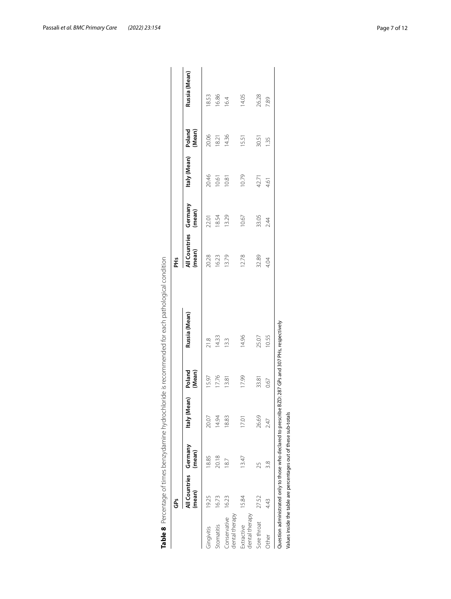<span id="page-6-0"></span>

|                                | Ğ                               |        |              |                  |               | Ě                       |                   |              |                  |               |
|--------------------------------|---------------------------------|--------|--------------|------------------|---------------|-------------------------|-------------------|--------------|------------------|---------------|
|                                | All Countries Germany<br>(mean) | (mean) | Italy (Mean) | (Mean)<br>Poland | Russia (Mean) | All Countries<br>(mean) | Germany<br>(mean) | Italy (Mean) | Poland<br>(Mean) | Russia (Mean) |
| Gingivitis                     | 19.25                           | 18.85  | 20.07        | 15.97            | 21.8          | 20.28                   | 22.01             | 20.46        | 20.06            | 18.53         |
| Stomatitis                     | 16.73                           | 20.18  | 14.94        | 17.76            | 14.33         | 16.23                   | 18.54             | 10.61        | 18.21            | 16.86         |
| dental therapy<br>Conservative | 16.23                           | 187    | 18.83        | 13.81            | 13.3          | 13.79                   | 13.29             | 10.81        | 14.36            | 16.4          |
| dental therapy<br>Extractive   | 15.84                           | 13.47  | 17.01        | 17.99            | 14.96         | 12.78                   | 10.67             | 10.79        | 1551             | 14.05         |
| Sore throat                    | 27.52                           | 25     | 26.69        | 33.81            | 25.07         | 32.89                   | 33.05             | 42.71        | 30.51            | 26.28         |
| Other                          | 4.43                            | 3.8    | 247          | 0.67             | 10.55         | 4.04                    | 2.44              | 4.61         | 1.35             | 7.89          |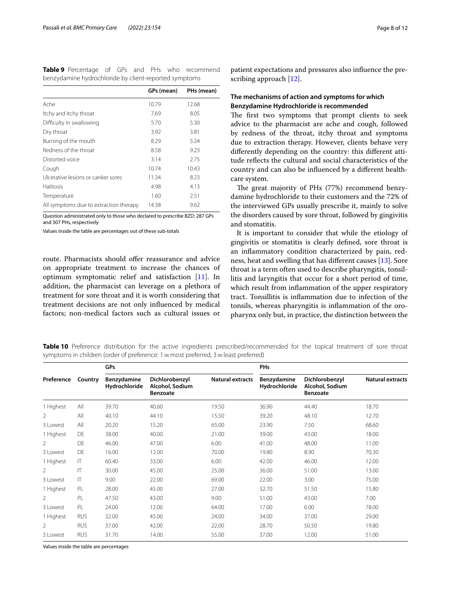<span id="page-7-0"></span>**Table 9** Percentage of GPs and PHs who recommend benzydamine hydrochloride by client-reported symptoms

|                                        | GPs (mean) | PHs (mean) |
|----------------------------------------|------------|------------|
| Ache                                   | 10.79      | 12.68      |
| Itchy and itchy throat                 | 7.69       | 8.05       |
| Difficulty in swallowing               | 5.70       | 5.30       |
| Dry throat                             | 3.92       | 3.81       |
| Burning of the mouth                   | 8.29       | 5.24       |
| Redness of the throat                  | 8.58       | 9.23       |
| Distorted voice                        | 3.14       | 2.75       |
| Cough                                  | 10.74      | 10.43      |
| Ulcerative lesions or canker sores     | 11.34      | 8.23       |
| <b>Halitosis</b>                       | 4.98       | 4.13       |
| Temperature                            | 1.60       | 2.51       |
| All symptoms due to extraction therapy | 14.38      | 9.62       |

Question administrated only to those who declared to prescribe BZD: 287 GPs and 307 PHs, respectively

Values inside the table are percentages out of these sub-totals

route. Pharmacists should offer reassurance and advice on appropriate treatment to increase the chances of optimum symptomatic relief and satisfaction [[11\]](#page-11-10). In addition, the pharmacist can leverage on a plethora of treatment for sore throat and it is worth considering that treatment decisions are not only infuenced by medical factors; non-medical factors such as cultural issues or

patient expectations and pressures also infuence the prescribing approach [\[12](#page-11-11)].

# **The mechanisms of action and symptoms for which Benzydamine Hydrochloride is recommended**

The first two symptoms that prompt clients to seek advice to the pharmacist are ache and cough, followed by redness of the throat, itchy throat and symptoms due to extraction therapy. However, clients behave very diferently depending on the country: this diferent attitude refects the cultural and social characteristics of the country and can also be infuenced by a diferent healthcare system.

The great majority of PHs (77%) recommend benzydamine hydrochloride to their customers and the 72% of the interviewed GPs usually prescribe it, mainly to solve the disorders caused by sore throat, followed by gingivitis and stomatitis.

It is important to consider that while the etiology of gingivitis or stomatitis is clearly defned, sore throat is an infammatory condition characterized by pain, redness, heat and swelling that has diferent causes [[13\]](#page-11-12). Sore throat is a term often used to describe pharyngitis, tonsillitis and laryngitis that occur for a short period of time, which result from inflammation of the upper respiratory tract. Tonsillitis is infammation due to infection of the tonsils, whereas pharyngitis is infammation of the oropharynx only but, in practice, the distinction between the

<span id="page-7-1"></span>**Table 10** Preference distribution for the active ingredients prescribed/recommended for the topical treatment of sore throat symptoms in children (order of preference: 1 = most preferred, 3 = least preferred)

|                |              | GPs                          |                                                      |                         | PHs                          |                                                      |                         |
|----------------|--------------|------------------------------|------------------------------------------------------|-------------------------|------------------------------|------------------------------------------------------|-------------------------|
| Preference     | Country      | Benzydamine<br>Hydrochloride | Dichlorobenzyl<br>Alcohol, Sodium<br><b>Benzoate</b> | <b>Natural extracts</b> | Benzydamine<br>Hydrochloride | Dichlorobenzyl<br>Alcohol, Sodium<br><b>Benzoate</b> | <b>Natural extracts</b> |
| 1 Highest      | All          | 39.70                        | 40.60                                                | 19.50                   | 36.90                        | 44.40                                                | 18.70                   |
| 2              | All          | 40.10                        | 44.10                                                | 15.50                   | 39.20                        | 48.10                                                | 12.70                   |
| 3 Lowest       | All          | 20.20                        | 15.20                                                | 65.00                   | 23.90                        | 7.50                                                 | 68.60                   |
| 1 Highest      | DE           | 38.00                        | 40.00                                                | 21.00                   | 39.00                        | 43.00                                                | 18.00                   |
| 2              | DE           | 46.00                        | 47.00                                                | 6.00                    | 41.00                        | 48.00                                                | 11.00                   |
| 3 Lowest       | DE           | 16.00                        | 12.00                                                | 70.00                   | 19.80                        | 8.90                                                 | 70.30                   |
| 1 Highest      | $\mathsf{L}$ | 60.40                        | 33.00                                                | 6.00                    | 42.00                        | 46.00                                                | 12.00                   |
| $\overline{2}$ | $\mathsf{I}$ | 30.00                        | 45.00                                                | 25.00                   | 36.00                        | 51.00                                                | 13.00                   |
| 3 l owest      | $\mathsf{L}$ | 9.00                         | 22.00                                                | 69.00                   | 22.00                        | 3.00                                                 | 75.00                   |
| 1 Highest      | PL           | 28.00                        | 45.00                                                | 27.00                   | 32.70                        | 51.50                                                | 15.80                   |
| 2              | PL           | 47.50                        | 43.00                                                | 9.00                    | 51.00                        | 43.00                                                | 7.00                    |
| 3 Lowest       | PL           | 24.00                        | 12.00                                                | 64.00                   | 17.00                        | 6.00                                                 | 78.00                   |
| 1 Highest      | <b>RUS</b>   | 32.00                        | 45.00                                                | 24.00                   | 34.00                        | 37.00                                                | 29.00                   |
| 2              | <b>RUS</b>   | 37.00                        | 42.00                                                | 22.00                   | 28.70                        | 50.50                                                | 19.80                   |
| 3 Lowest       | <b>RUS</b>   | 31.70                        | 14.00                                                | 55.00                   | 37.00                        | 12.00                                                | 51.00                   |

Values inside the table are percentages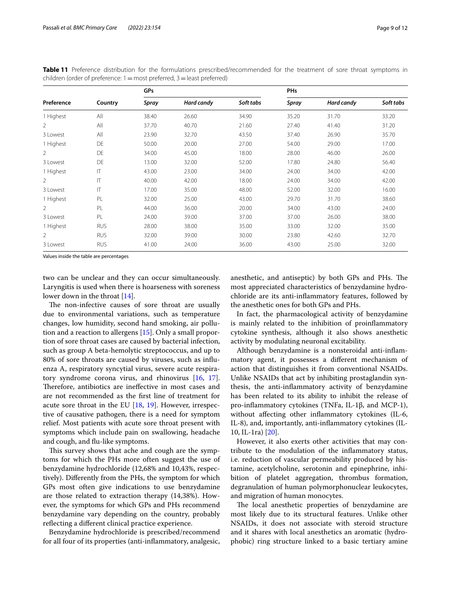<span id="page-8-0"></span>**Table 11** Preference distribution for the formulations prescribed/recommended for the treatment of sore throat symptoms in children (order of preference:  $1=$  most preferred,  $3=$  least preferred)

|                |              | GPs   |            |           | <b>PHs</b> |            |           |
|----------------|--------------|-------|------------|-----------|------------|------------|-----------|
| Preference     | Country      | Spray | Hard candy | Soft tabs | Spray      | Hard candy | Soft tabs |
| 1 Highest      | All          | 38.40 | 26.60      | 34.90     | 35.20      | 31.70      | 33.20     |
| 2              | All          | 37.70 | 40.70      | 21.60     | 27.40      | 41.40      | 31.20     |
| 3 Lowest       | All          | 23.90 | 32.70      | 43.50     | 37.40      | 26.90      | 35.70     |
| 1 Highest      | DE           | 50.00 | 20.00      | 27.00     | 54.00      | 29.00      | 17.00     |
| 2              | DE           | 34.00 | 45.00      | 18.00     | 28.00      | 46.00      | 26.00     |
| 3 Lowest       | DE           | 13.00 | 32.00      | 52.00     | 17.80      | 24.80      | 56.40     |
| 1 Highest      | $\mathsf{I}$ | 43.00 | 23.00      | 34.00     | 24.00      | 34.00      | 42.00     |
| $\overline{2}$ | $\mathsf{I}$ | 40.00 | 42.00      | 18.00     | 24.00      | 34.00      | 42.00     |
| 3 Lowest       | IT           | 17.00 | 35.00      | 48.00     | 52.00      | 32.00      | 16.00     |
| 1 Highest      | PL           | 32.00 | 25.00      | 43.00     | 29.70      | 31.70      | 38.60     |
| $\overline{2}$ | PL           | 44.00 | 36.00      | 20.00     | 34.00      | 43.00      | 24.00     |
| 3 Lowest       | PL           | 24.00 | 39.00      | 37.00     | 37.00      | 26.00      | 38.00     |
| 1 Highest      | <b>RUS</b>   | 28.00 | 38.00      | 35.00     | 33.00      | 32.00      | 35.00     |
| 2              | <b>RUS</b>   | 32.00 | 39.00      | 30.00     | 23.80      | 42.60      | 32.70     |
| 3 Lowest       | <b>RUS</b>   | 41.00 | 24.00      | 36.00     | 43.00      | 25.00      | 32.00     |

Values inside the table are percentages

two can be unclear and they can occur simultaneously. Laryngitis is used when there is hoarseness with soreness lower down in the throat [\[14](#page-11-13)].

The non-infective causes of sore throat are usually due to environmental variations, such as temperature changes, low humidity, second hand smoking, air pollution and a reaction to allergens [\[15\]](#page-11-14). Only a small proportion of sore throat cases are caused by bacterial infection, such as group A beta-hemolytic streptococcus, and up to 80% of sore throats are caused by viruses, such as infuenza A, respiratory syncytial virus, severe acute respiratory syndrome corona virus, and rhinovirus [[16,](#page-11-15) [17](#page-11-16)]. Therefore, antibiotics are ineffective in most cases and are not recommended as the frst line of treatment for acute sore throat in the EU [\[18](#page-11-17), [19\]](#page-11-18). However, irrespective of causative pathogen, there is a need for symptom relief. Most patients with acute sore throat present with symptoms which include pain on swallowing, headache and cough, and fu-like symptoms.

This survey shows that ache and cough are the symptoms for which the PHs more often suggest the use of benzydamine hydrochloride (12,68% and 10,43%, respectively). Diferently from the PHs, the symptom for which GPs most often give indications to use benzydamine are those related to extraction therapy (14,38%). However, the symptoms for which GPs and PHs recommend benzydamine vary depending on the country, probably refecting a diferent clinical practice experience.

Benzydamine hydrochloride is prescribed/recommend for all four of its properties (anti-infammatory, analgesic, anesthetic, and antiseptic) by both GPs and PHs. The most appreciated characteristics of benzydamine hydrochloride are its anti-infammatory features, followed by the anesthetic ones for both GPs and PHs.

In fact, the pharmacological activity of benzydamine is mainly related to the inhibition of proinfammatory cytokine synthesis, although it also shows anesthetic activity by modulating neuronal excitability.

Although benzydamine is a nonsteroidal anti-infammatory agent, it possesses a diferent mechanism of action that distinguishes it from conventional NSAIDs. Unlike NSAIDs that act by inhibiting prostaglandin synthesis, the anti-infammatory activity of benzydamine has been related to its ability to inhibit the release of pro-infammatory cytokines (TNFa, IL-1β, and MCP-1), without affecting other inflammatory cytokines (IL-6, IL-8), and, importantly, anti-infammatory cytokines (IL-10, IL-1ra) [\[20](#page-11-19)].

However, it also exerts other activities that may contribute to the modulation of the infammatory status, i.e. reduction of vascular permeability produced by histamine, acetylcholine, serotonin and epinephrine, inhibition of platelet aggregation, thrombus formation, degranulation of human polymorphonuclear leukocytes, and migration of human monocytes.

The local anesthetic properties of benzydamine are most likely due to its structural features. Unlike other NSAIDs, it does not associate with steroid structure and it shares with local anesthetics an aromatic (hydrophobic) ring structure linked to a basic tertiary amine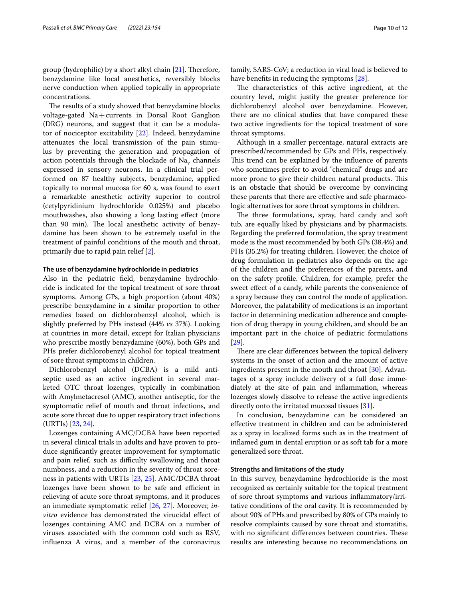group (hydrophilic) by a short alkyl chain  $[21]$  $[21]$ . Therefore, benzydamine like local anesthetics, reversibly blocks nerve conduction when applied topically in appropriate concentrations.

The results of a study showed that benzydamine blocks voltage-gated Na+currents in Dorsal Root Ganglion (DRG) neurons, and suggest that it can be a modulator of nociceptor excitability [[22\]](#page-11-21). Indeed, benzydamine attenuates the local transmission of the pain stimulus by preventing the generation and propagation of action potentials through the blockade of  $Na<sub>v</sub>$  channels expressed in sensory neurons. In a clinical trial performed on 87 healthy subjects, benzydamine, applied topically to normal mucosa for 60 s, was found to exert a remarkable anesthetic activity superior to control (cetylpyridinium hydrochloride 0.025%) and placebo mouthwashes, also showing a long lasting efect (more than 90 min). The local anesthetic activity of benzydamine has been shown to be extremely useful in the treatment of painful conditions of the mouth and throat, primarily due to rapid pain relief [[2\]](#page-11-1).

## **The use of benzydamine hydrochloride in pediatrics**

Also in the pediatric feld, benzydamine hydrochloride is indicated for the topical treatment of sore throat symptoms. Among GPs, a high proportion (about 40%) prescribe benzydamine in a similar proportion to other remedies based on dichlorobenzyl alcohol, which is slightly preferred by PHs instead (44% *vs* 37%). Looking at countries in more detail, except for Italian physicians who prescribe mostly benzydamine (60%), both GPs and PHs prefer dichlorobenzyl alcohol for topical treatment of sore throat symptoms in children.

Dichlorobenzyl alcohol (DCBA) is a mild antiseptic used as an active ingredient in several marketed OTC throat lozenges, typically in combination with Amylmetacresol (AMC), another antiseptic, for the symptomatic relief of mouth and throat infections, and acute sore throat due to upper respiratory tract infections (URTIs) [\[23](#page-11-22), [24\]](#page-11-23).

Lozenges containing AMC/DCBA have been reported in several clinical trials in adults and have proven to produce signifcantly greater improvement for symptomatic and pain relief, such as difficulty swallowing and throat numbness, and a reduction in the severity of throat soreness in patients with URTIs [\[23](#page-11-22), [25\]](#page-11-24). AMC/DCBA throat lozenges have been shown to be safe and efficient in relieving of acute sore throat symptoms, and it produces an immediate symptomatic relief [\[26,](#page-11-25) [27](#page-11-26)]. Moreover, *invitro* evidence has demonstrated the virucidal effect of lozenges containing AMC and DCBA on a number of viruses associated with the common cold such as RSV, infuenza A virus, and a member of the coronavirus family, SARS-CoV; a reduction in viral load is believed to have benefits in reducing the symptoms [\[28](#page-11-27)].

The characteristics of this active ingredient, at the country level, might justify the greater preference for dichlorobenzyl alcohol over benzydamine. However, there are no clinical studies that have compared these two active ingredients for the topical treatment of sore throat symptoms.

Although in a smaller percentage, natural extracts are prescribed/recommended by GPs and PHs, respectively. This trend can be explained by the influence of parents who sometimes prefer to avoid "chemical" drugs and are more prone to give their children natural products. This is an obstacle that should be overcome by convincing these parents that there are efective and safe pharmacologic alternatives for sore throat symptoms in children.

The three formulations, spray, hard candy and soft tub, are equally liked by physicians and by pharmacists. Regarding the preferred formulation, the spray treatment mode is the most recommended by both GPs (38.4%) and PHs (35.2%) for treating children. However, the choice of drug formulation in pediatrics also depends on the age of the children and the preferences of the parents, and on the safety profle. Children, for example, prefer the sweet efect of a candy, while parents the convenience of a spray because they can control the mode of application. Moreover, the palatability of medications is an important factor in determining medication adherence and completion of drug therapy in young children, and should be an important part in the choice of pediatric formulations [[29\]](#page-11-28).

There are clear differences between the topical delivery systems in the onset of action and the amount of active ingredients present in the mouth and throat [[30](#page-11-29)]. Advantages of a spray include delivery of a full dose immediately at the site of pain and infammation, whereas lozenges slowly dissolve to release the active ingredients directly onto the irritated mucosal tissues [\[31](#page-11-30)].

In conclusion, benzydamine can be considered an efective treatment in children and can be administered as a spray in localized forms such as in the treatment of infamed gum in dental eruption or as soft tab for a more generalized sore throat.

## **Strengths and limitations of the study**

In this survey, benzydamine hydrochloride is the most recognized as certainly suitable for the topical treatment of sore throat symptoms and various infammatory/irritative conditions of the oral cavity. It is recommended by about 90% of PHs and prescribed by 80% of GPs mainly to resolve complaints caused by sore throat and stomatitis, with no significant differences between countries. These results are interesting because no recommendations on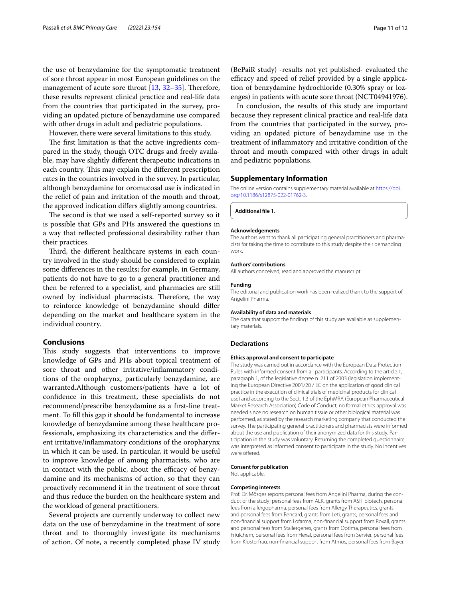the use of benzydamine for the symptomatic treatment of sore throat appear in most European guidelines on the management of acute sore throat  $[13, 32-35]$  $[13, 32-35]$  $[13, 32-35]$  $[13, 32-35]$  $[13, 32-35]$ . Therefore, these results represent clinical practice and real-life data from the countries that participated in the survey, providing an updated picture of benzydamine use compared with other drugs in adult and pediatric populations.

However, there were several limitations to this study.

The first limitation is that the active ingredients compared in the study, though OTC drugs and freely available, may have slightly diferent therapeutic indications in each country. This may explain the different prescription rates in the countries involved in the survey. In particular, although benzydamine for oromucosal use is indicated in the relief of pain and irritation of the mouth and throat, the approved indication difers slightly among countries.

The second is that we used a self-reported survey so it is possible that GPs and PHs answered the questions in a way that refected professional desirability rather than their practices.

Third, the different healthcare systems in each country involved in the study should be considered to explain some diferences in the results; for example, in Germany, patients do not have to go to a general practitioner and then be referred to a specialist, and pharmacies are still owned by individual pharmacists. Therefore, the way to reinforce knowledge of benzydamine should difer depending on the market and healthcare system in the individual country.

# **Conclusions**

This study suggests that interventions to improve knowledge of GPs and PHs about topical treatment of sore throat and other irritative/infammatory conditions of the oropharynx, particularly benzydamine, are warranted.Although customers/patients have a lot of confdence in this treatment, these specialists do not recommend/prescribe benzydamine as a frst-line treatment. To fll this gap it should be fundamental to increase knowledge of benzydamine among these healthcare professionals, emphasizing its characteristics and the diferent irritative/infammatory conditions of the oropharynx in which it can be used. In particular, it would be useful to improve knowledge of among pharmacists, who are in contact with the public, about the efficacy of benzydamine and its mechanisms of action, so that they can proactively recommend it in the treatment of sore throat and thus reduce the burden on the healthcare system and the workload of general practitioners.

Several projects are currently underway to collect new data on the use of benzydamine in the treatment of sore throat and to thoroughly investigate its mechanisms of action. Of note, a recently completed phase IV study (BePaiR study) -results not yet published- evaluated the efficacy and speed of relief provided by a single application of benzydamine hydrochloride (0.30% spray or lozenges) in patients with acute sore throat (NCT04941976).

In conclusion, the results of this study are important because they represent clinical practice and real-life data from the countries that participated in the survey, providing an updated picture of benzydamine use in the treatment of infammatory and irritative condition of the throat and mouth compared with other drugs in adult and pediatric populations.

#### **Supplementary Information**

The online version contains supplementary material available at [https://doi.](https://doi.org/10.1186/s12875-022-01762-3) [org/10.1186/s12875-022-01762-3](https://doi.org/10.1186/s12875-022-01762-3).

<span id="page-10-0"></span>**Additional fle 1.**

#### **Acknowledgements**

The authors want to thank all participating general practitioners and pharmacists for taking the time to contribute to this study despite their demanding work.

#### **Authors' contributions**

All authors conceived, read and approved the manuscript.

#### **Funding**

The editorial and publication work has been realized thank to the support of Angelini Pharma.

#### **Availability of data and materials**

The data that support the findings of this study are available as supplementary materials.

#### **Declarations**

#### **Ethics approval and consent to participate**

The study was carried out in accordance with the European Data Protection Rules with informed consent from all participants. According to the article 1, paragraph 1, of the legislative decree n. 211 of 2003 (legislation implementing the European Directive 2001/20 / EC on the application of good clinical practice in the execution of clinical trials of medicinal products for clinical use) and according to the Sect. 1.3 of the EphMRA (European Pharmaceutical Market Research Association) Code of Conduct, no formal ethics approval was needed since no research on human tissue or other biological material was performed, as stated by the research marketing company that conducted the survey. The participating general practitioners and pharmacists were informed about the use and publication of their anonymized data for this study. Participation in the study was voluntary. Returning the completed questionnaire was interpreted as informed consent to participate in the study. No incentives were offered.

#### **Consent for publication**

Not applicable.

#### **Competing interests**

Prof. Dr. Mösges reports personal fees from Angelini Pharma, during the conduct of the study; personal fees from ALK, grants from ASIT biotech, personal fees from allergopharma, personal fees from Allergy Therapeutics, grants and personal fees from Bencard, grants from Leti, grants, personal fees and non-fnancial support from Lofarma, non-fnancial support from Roxall, grants and personal fees from Stallergenes, grants from Optima, personal fees from Friulchem, personal fees from Hexal, personal fees from Servier, personal fees from Klosterfrau, non-fnancial support from Atmos, personal fees from Bayer,